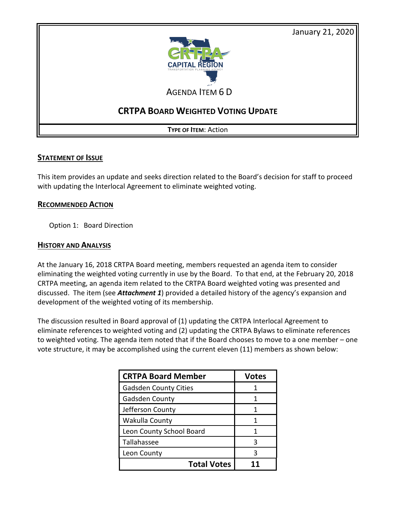

AGENDA ITEM 6 D

# **CRTPA BOARD WEIGHTED VOTING UPDATE**

**TYPE OF ITEM**: Action

#### **STATEMENT OF ISSUE**

This item provides an update and seeks direction related to the Board's decision for staff to proceed with updating the Interlocal Agreement to eliminate weighted voting.

#### **RECOMMENDED ACTION**

Option 1: Board Direction

### **HISTORY AND ANALYSIS**

At the January 16, 2018 CRTPA Board meeting, members requested an agenda item to consider eliminating the weighted voting currently in use by the Board. To that end, at the February 20, 2018 CRTPA meeting, an agenda item related to the CRTPA Board weighted voting was presented and discussed. The item (see *Attachment 1*) provided a detailed history of the agency's expansion and development of the weighted voting of its membership.

The discussion resulted in Board approval of (1) updating the CRTPA Interlocal Agreement to eliminate references to weighted voting and (2) updating the CRTPA Bylaws to eliminate references to weighted voting. The agenda item noted that if the Board chooses to move to a one member – one vote structure, it may be accomplished using the current eleven (11) members as shown below:

| <b>CRTPA Board Member</b>    | <b>Votes</b> |
|------------------------------|--------------|
| <b>Gadsden County Cities</b> |              |
| Gadsden County               |              |
| Jefferson County             |              |
| Wakulla County               |              |
| Leon County School Board     |              |
| Tallahassee                  | ζ            |
| Leon County                  | ς            |
| <b>Total Votes</b>           |              |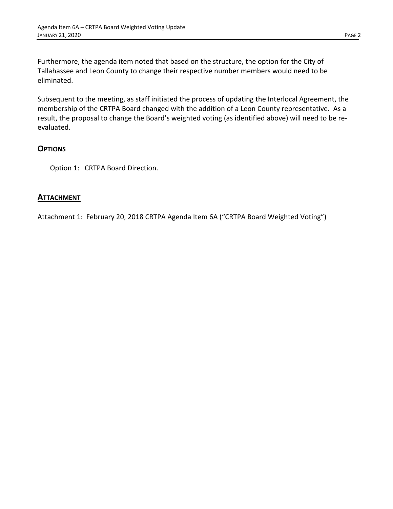Furthermore, the agenda item noted that based on the structure, the option for the City of Tallahassee and Leon County to change their respective number members would need to be eliminated.

Subsequent to the meeting, as staff initiated the process of updating the Interlocal Agreement, the membership of the CRTPA Board changed with the addition of a Leon County representative. As a result, the proposal to change the Board's weighted voting (as identified above) will need to be reevaluated.

### **OPTIONS**

Option 1: CRTPA Board Direction.

#### **ATTACHMENT**

Attachment 1: February 20, 2018 CRTPA Agenda Item 6A ("CRTPA Board Weighted Voting")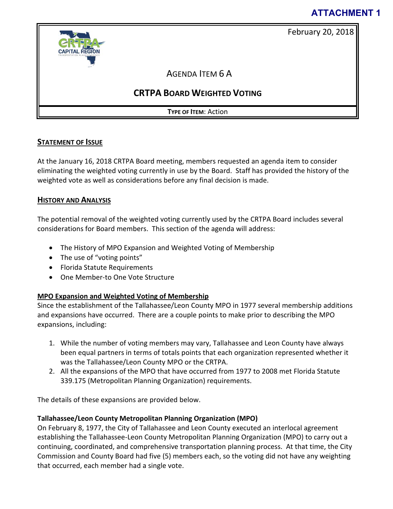# **ATTACHMENT 1**

February 20, 2018





AGENDA ITEM 6 A

# **CRTPA BOARD WEIGHTED VOTING**

**TYPE OF ITEM**: Action

## **STATEMENT OF ISSUE**

At the January 16, 2018 CRTPA Board meeting, members requested an agenda item to consider eliminating the weighted voting currently in use by the Board. Staff has provided the history of the weighted vote as well as considerations before any final decision is made.

## **HISTORY AND ANALYSIS**

The potential removal of the weighted voting currently used by the CRTPA Board includes several considerations for Board members. This section of the agenda will address:

- The History of MPO Expansion and Weighted Voting of Membership
- The use of "voting points"
- Florida Statute Requirements
- One Member-to One Vote Structure

## **MPO Expansion and Weighted Voting of Membership**

Since the establishment of the Tallahassee/Leon County MPO in 1977 several membership additions and expansions have occurred. There are a couple points to make prior to describing the MPO expansions, including:

- 1. While the number of voting members may vary, Tallahassee and Leon County have always been equal partners in terms of totals points that each organization represented whether it was the Tallahassee/Leon County MPO or the CRTPA.
- 2. All the expansions of the MPO that have occurred from 1977 to 2008 met Florida Statute 339.175 (Metropolitan Planning Organization) requirements.

The details of these expansions are provided below.

## **Tallahassee/Leon County Metropolitan Planning Organization (MPO)**

On February 8, 1977, the City of Tallahassee and Leon County executed an interlocal agreement establishing the Tallahassee-Leon County Metropolitan Planning Organization (MPO) to carry out a continuing, coordinated, and comprehensive transportation planning process. At that time, the City Commission and County Board had five (5) members each, so the voting did not have any weighting that occurred, each member had a single vote.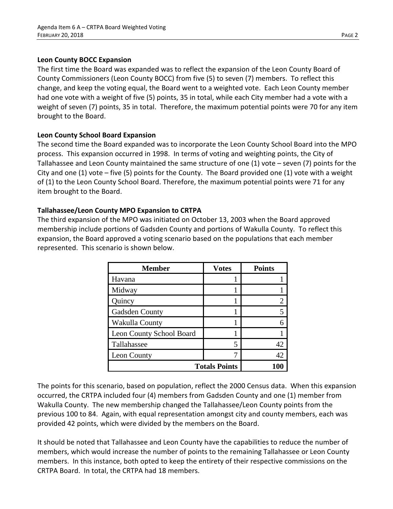#### **Leon County BOCC Expansion**

The first time the Board was expanded was to reflect the expansion of the Leon County Board of County Commissioners (Leon County BOCC) from five (5) to seven (7) members. To reflect this change, and keep the voting equal, the Board went to a weighted vote. Each Leon County member had one vote with a weight of five (5) points, 35 in total, while each City member had a vote with a weight of seven (7) points, 35 in total. Therefore, the maximum potential points were 70 for any item brought to the Board.

### **Leon County School Board Expansion**

The second time the Board expanded was to incorporate the Leon County School Board into the MPO process. This expansion occurred in 1998. In terms of voting and weighting points, the City of Tallahassee and Leon County maintained the same structure of one (1) vote – seven (7) points for the City and one (1) vote – five (5) points for the County. The Board provided one (1) vote with a weight of (1) to the Leon County School Board. Therefore, the maximum potential points were 71 for any item brought to the Board.

#### **Tallahassee/Leon County MPO Expansion to CRTPA**

The third expansion of the MPO was initiated on October 13, 2003 when the Board approved membership include portions of Gadsden County and portions of Wakulla County. To reflect this expansion, the Board approved a voting scenario based on the populations that each member represented. This scenario is shown below.

| <b>Member</b>            | <b>Votes</b> | <b>Points</b> |
|--------------------------|--------------|---------------|
| Havana                   |              |               |
| Midway                   |              |               |
| Quincy                   |              | 2             |
| Gadsden County           |              | 5             |
| Wakulla County           |              | 6             |
| Leon County School Board |              |               |
| Tallahassee              | 5            | 42            |
| Leon County              |              | 42            |
| <b>Totals Points</b>     |              |               |

The points for this scenario, based on population, reflect the 2000 Census data. When this expansion occurred, the CRTPA included four (4) members from Gadsden County and one (1) member from Wakulla County. The new membership changed the Tallahassee/Leon County points from the previous 100 to 84. Again, with equal representation amongst city and county members, each was provided 42 points, which were divided by the members on the Board.

It should be noted that Tallahassee and Leon County have the capabilities to reduce the number of members, which would increase the number of points to the remaining Tallahassee or Leon County members. In this instance, both opted to keep the entirety of their respective commissions on the CRTPA Board. In total, the CRTPA had 18 members.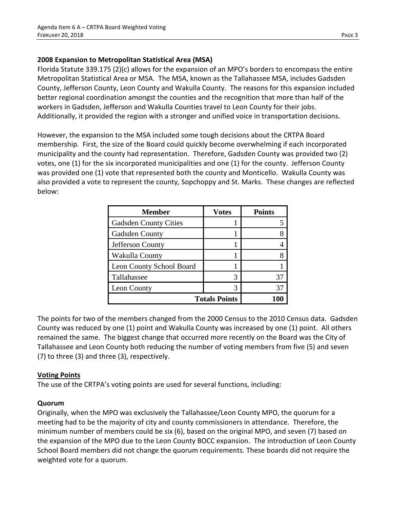### **2008 Expansion to Metropolitan Statistical Area (MSA)**

Florida Statute 339.175 (2)(c) allows for the expansion of an MPO's borders to encompass the entire Metropolitan Statistical Area or MSA. The MSA, known as the Tallahassee MSA, includes Gadsden County, Jefferson County, Leon County and Wakulla County. The reasons for this expansion included better regional coordination amongst the counties and the recognition that more than half of the workers in Gadsden, Jefferson and Wakulla Counties travel to Leon County for their jobs. Additionally, it provided the region with a stronger and unified voice in transportation decisions.

However, the expansion to the MSA included some tough decisions about the CRTPA Board membership. First, the size of the Board could quickly become overwhelming if each incorporated municipality and the county had representation. Therefore, Gadsden County was provided two (2) votes, one (1) for the six incorporated municipalities and one (1) for the county. Jefferson County was provided one (1) vote that represented both the county and Monticello. Wakulla County was also provided a vote to represent the county, Sopchoppy and St. Marks. These changes are reflected below:

| <b>Member</b>                   | <b>Votes</b> | <b>Points</b> |
|---------------------------------|--------------|---------------|
| <b>Gadsden County Cities</b>    |              |               |
| <b>Gadsden County</b>           |              |               |
| Jefferson County                |              |               |
| Wakulla County                  |              |               |
| <b>Leon County School Board</b> |              |               |
| Tallahassee                     | 3            | 37            |
| Leon County                     |              | 37            |
| <b>Totals Points</b>            |              |               |

The points for two of the members changed from the 2000 Census to the 2010 Census data. Gadsden County was reduced by one (1) point and Wakulla County was increased by one (1) point. All others remained the same. The biggest change that occurred more recently on the Board was the City of Tallahassee and Leon County both reducing the number of voting members from five (5) and seven (7) to three (3) and three (3), respectively.

### **Voting Points**

The use of the CRTPA's voting points are used for several functions, including:

#### **Quorum**

Originally, when the MPO was exclusively the Tallahassee/Leon County MPO, the quorum for a meeting had to be the majority of city and county commissioners in attendance. Therefore, the minimum number of members could be six (6), based on the original MPO, and seven (7) based on the expansion of the MPO due to the Leon County BOCC expansion. The introduction of Leon County School Board members did not change the quorum requirements. These boards did not require the weighted vote for a quorum.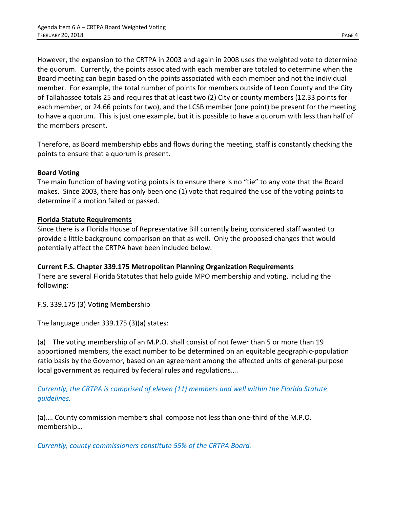However, the expansion to the CRTPA in 2003 and again in 2008 uses the weighted vote to determine the quorum. Currently, the points associated with each member are totaled to determine when the Board meeting can begin based on the points associated with each member and not the individual member. For example, the total number of points for members outside of Leon County and the City of Tallahassee totals 25 and requires that at least two (2) City or county members (12.33 points for each member, or 24.66 points for two), and the LCSB member (one point) be present for the meeting to have a quorum. This is just one example, but it is possible to have a quorum with less than half of the members present.

Therefore, as Board membership ebbs and flows during the meeting, staff is constantly checking the points to ensure that a quorum is present.

#### **Board Voting**

The main function of having voting points is to ensure there is no "tie" to any vote that the Board makes. Since 2003, there has only been one (1) vote that required the use of the voting points to determine if a motion failed or passed.

#### **Florida Statute Requirements**

Since there is a Florida House of Representative Bill currently being considered staff wanted to provide a little background comparison on that as well. Only the proposed changes that would potentially affect the CRTPA have been included below.

### **Current F.S. Chapter 339.175 Metropolitan Planning Organization Requirements**

There are several Florida Statutes that help guide MPO membership and voting, including the following:

F.S. 339.175 (3) Voting Membership

The language under 339.175 (3)(a) states:

(a) The voting membership of an M.P.O. shall consist of not fewer than 5 or more than 19 apportioned members, the exact number to be determined on an equitable geographic-population ratio basis by the Governor, based on an agreement among the affected units of general-purpose local government as required by federal rules and regulations….

*Currently, the CRTPA is comprised of eleven (11) members and well within the Florida Statute guidelines.*

(a)…. County commission members shall compose not less than one-third of the M.P.O. membership…

*Currently, county commissioners constitute 55% of the CRTPA Board.*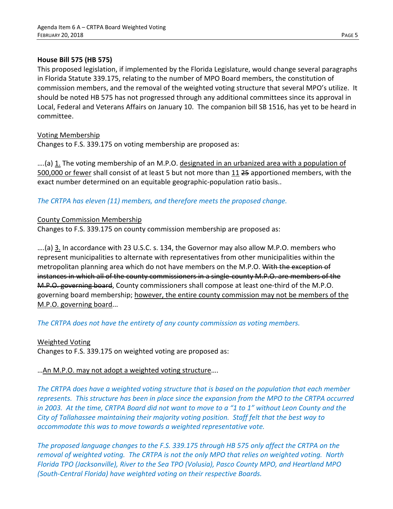#### **House Bill 575 (HB 575)**

This proposed legislation, if implemented by the Florida Legislature, would change several paragraphs in Florida Statute 339.175, relating to the number of MPO Board members, the constitution of commission members, and the removal of the weighted voting structure that several MPO's utilize. It should be noted HB 575 has not progressed through any additional committees since its approval in Local, Federal and Veterans Affairs on January 10. The companion bill SB 1516, has yet to be heard in committee.

#### Voting Membership

Changes to F.S. 339.175 on voting membership are proposed as:

….(a) 1. The voting membership of an M.P.O. designated in an urbanized area with a population of 500,000 or fewer shall consist of at least 5 but not more than 11 25 apportioned members, with the exact number determined on an equitable geographic-population ratio basis..

### *The CRTPA has eleven (11) members, and therefore meets the proposed change.*

#### County Commission Membership

Changes to F.S. 339.175 on county commission membership are proposed as:

….(a) 3. In accordance with 23 U.S.C. s. 134, the Governor may also allow M.P.O. members who represent municipalities to alternate with representatives from other municipalities within the metropolitan planning area which do not have members on the M.P.O. With the exception of instances in which all of the county commissioners in a single-county M.P.O. are members of the M.P.O. governing board, County commissioners shall compose at least one-third of the M.P.O. governing board membership; however, the entire county commission may not be members of the M.P.O. governing board...

*The CRTPA does not have the entirety of any county commission as voting members.*

### Weighted Voting

Changes to F.S. 339.175 on weighted voting are proposed as:

### …An M.P.O. may not adopt a weighted voting structure….

*The CRTPA does have a weighted voting structure that is based on the population that each member represents. This structure has been in place since the expansion from the MPO to the CRTPA occurred in 2003. At the time, CRTPA Board did not want to move to a "1 to 1" without Leon County and the City of Tallahassee maintaining their majority voting position. Staff felt that the best way to accommodate this was to move towards a weighted representative vote.*

*The proposed language changes to the F.S. 339.175 through HB 575 only affect the CRTPA on the removal of weighted voting. The CRTPA is not the only MPO that relies on weighted voting. North Florida TPO (Jacksonville), River to the Sea TPO (Volusia), Pasco County MPO, and Heartland MPO (South-Central Florida) have weighted voting on their respective Boards.*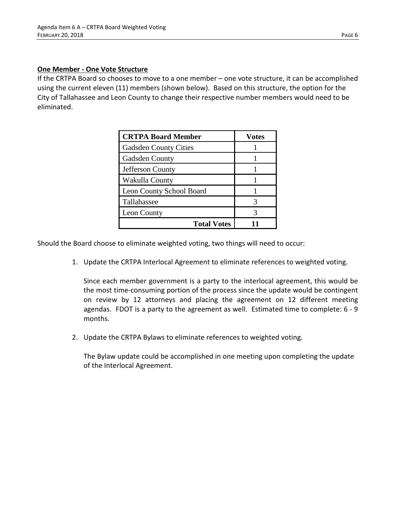#### **One Member - One Vote Structure**

If the CRTPA Board so chooses to move to a one member – one vote structure, it can be accomplished using the current eleven (11) members (shown below). Based on this structure, the option for the City of Tallahassee and Leon County to change their respective number members would need to be eliminated.

| <b>CRTPA Board Member</b>    | <b>Votes</b> |
|------------------------------|--------------|
| <b>Gadsden County Cities</b> |              |
| <b>Gadsden County</b>        |              |
| Jefferson County             |              |
| Wakulla County               |              |
| Leon County School Board     |              |
| Tallahassee                  |              |
| Leon County                  |              |
| <b>Total Votes</b>           |              |

Should the Board choose to eliminate weighted voting, two things will need to occur:

1. Update the CRTPA Interlocal Agreement to eliminate references to weighted voting.

Since each member government is a party to the interlocal agreement, this would be the most time-consuming portion of the process since the update would be contingent on review by 12 attorneys and placing the agreement on 12 different meeting agendas. FDOT is a party to the agreement as well. Estimated time to complete: 6 - 9 months.

2. Update the CRTPA Bylaws to eliminate references to weighted voting.

The Bylaw update could be accomplished in one meeting upon completing the update of the Interlocal Agreement.